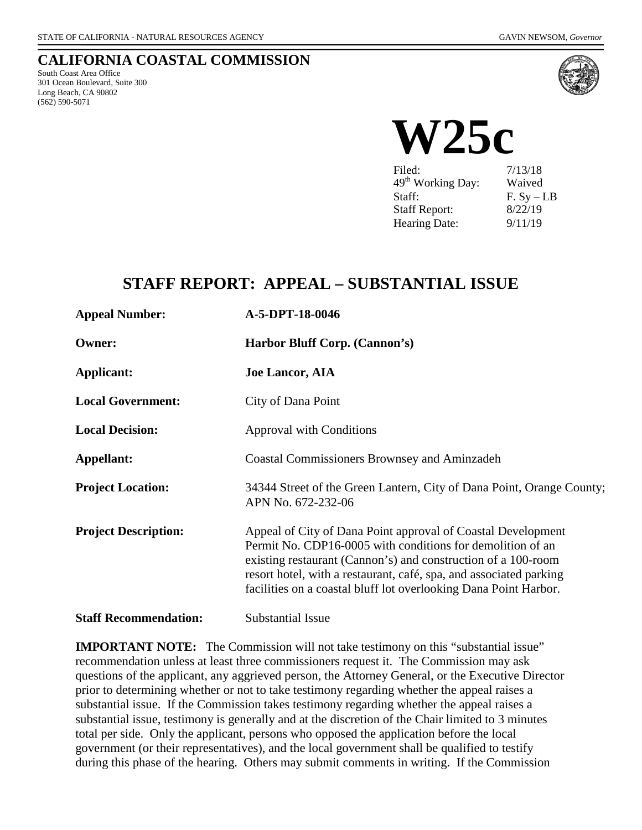## **CALIFORNIA COASTAL COMMISSION**

South Coast Area Office 301 Ocean Boulevard, Suite 300 Long Beach, CA 90802 (562) 590-5071



**W25c**  $7/13/18$ 49<sup>th</sup> Working Day: Waived Staff: F. Sy – LB Staff Report: 8/22/19

Hearing Date: 9/11/19

## **STAFF REPORT: APPEAL – SUBSTANTIAL ISSUE**

| <b>Appeal Number:</b>        | A-5-DPT-18-0046                                                                                                                                                                                                                                                                                                                       |
|------------------------------|---------------------------------------------------------------------------------------------------------------------------------------------------------------------------------------------------------------------------------------------------------------------------------------------------------------------------------------|
| <b>Owner:</b>                | Harbor Bluff Corp. (Cannon's)                                                                                                                                                                                                                                                                                                         |
| Applicant:                   | <b>Joe Lancor, AIA</b>                                                                                                                                                                                                                                                                                                                |
| <b>Local Government:</b>     | City of Dana Point                                                                                                                                                                                                                                                                                                                    |
| <b>Local Decision:</b>       | <b>Approval with Conditions</b>                                                                                                                                                                                                                                                                                                       |
| Appellant:                   | <b>Coastal Commissioners Brownsey and Aminzadeh</b>                                                                                                                                                                                                                                                                                   |
| <b>Project Location:</b>     | 34344 Street of the Green Lantern, City of Dana Point, Orange County;<br>APN No. 672-232-06                                                                                                                                                                                                                                           |
| <b>Project Description:</b>  | Appeal of City of Dana Point approval of Coastal Development<br>Permit No. CDP16-0005 with conditions for demolition of an<br>existing restaurant (Cannon's) and construction of a 100-room<br>resort hotel, with a restaurant, café, spa, and associated parking<br>facilities on a coastal bluff lot overlooking Dana Point Harbor. |
| <b>Staff Recommendation:</b> | Substantial Issue                                                                                                                                                                                                                                                                                                                     |

**IMPORTANT NOTE:** The Commission will not take testimony on this "substantial issue" recommendation unless at least three commissioners request it. The Commission may ask questions of the applicant, any aggrieved person, the Attorney General, or the Executive Director prior to determining whether or not to take testimony regarding whether the appeal raises a substantial issue. If the Commission takes testimony regarding whether the appeal raises a substantial issue, testimony is generally and at the discretion of the Chair limited to 3 minutes total per side. Only the applicant, persons who opposed the application before the local government (or their representatives), and the local government shall be qualified to testify during this phase of the hearing. Others may submit comments in writing. If the Commission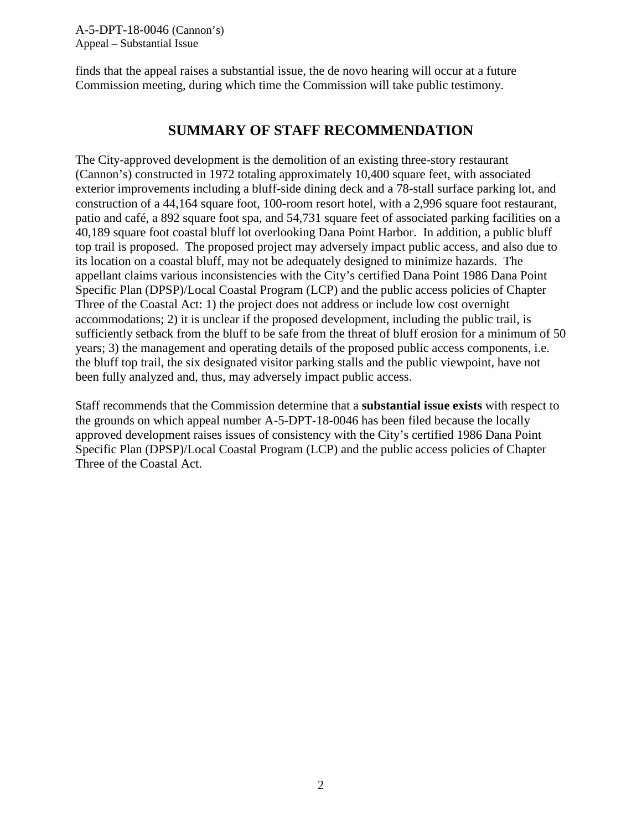finds that the appeal raises a substantial issue, the de novo hearing will occur at a future Commission meeting, during which time the Commission will take public testimony.

## **SUMMARY OF STAFF RECOMMENDATION**

The City-approved development is the demolition of an existing three-story restaurant (Cannon's) constructed in 1972 totaling approximately 10,400 square feet, with associated exterior improvements including a bluff-side dining deck and a 78-stall surface parking lot, and construction of a 44,164 square foot, 100-room resort hotel, with a 2,996 square foot restaurant, patio and café, a 892 square foot spa, and 54,731 square feet of associated parking facilities on a 40,189 square foot coastal bluff lot overlooking Dana Point Harbor. In addition, a public bluff top trail is proposed. The proposed project may adversely impact public access, and also due to its location on a coastal bluff, may not be adequately designed to minimize hazards. The appellant claims various inconsistencies with the City's certified Dana Point 1986 Dana Point Specific Plan (DPSP)/Local Coastal Program (LCP) and the public access policies of Chapter Three of the Coastal Act: 1) the project does not address or include low cost overnight accommodations; 2) it is unclear if the proposed development, including the public trail, is sufficiently setback from the bluff to be safe from the threat of bluff erosion for a minimum of 50 years; 3) the management and operating details of the proposed public access components, i.e. the bluff top trail, the six designated visitor parking stalls and the public viewpoint, have not been fully analyzed and, thus, may adversely impact public access.

Staff recommends that the Commission determine that a **substantial issue exists** with respect to the grounds on which appeal number A-5-DPT-18-0046 has been filed because the locally approved development raises issues of consistency with the City's certified 1986 Dana Point Specific Plan (DPSP)/Local Coastal Program (LCP) and the public access policies of Chapter Three of the Coastal Act.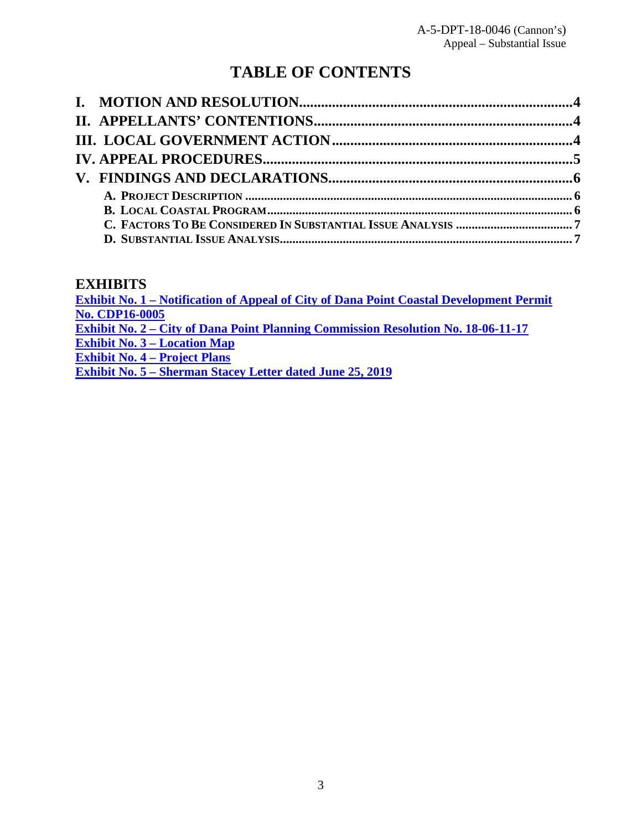# **TABLE OF CONTENTS**

## **EXHIBITS**

**[Exhibit No. 1 – Notification of Appeal of City of Dana Point Coastal Development Permit](https://documents.coastal.ca.gov/reports/2019/9/W25c/W25c-9-2019-report.pdf)  [No. CDP16-0005](https://documents.coastal.ca.gov/reports/2019/9/W25c/W25c-9-2019-report.pdf) [Exhibit No. 2 – City of Dana Point Planning Commission Resolution No. 18-06-11-17](https://documents.coastal.ca.gov/reports/2019/9/W25c/W25c-9-2019-report.pdf) [Exhibit No. 3 – Location Map](https://documents.coastal.ca.gov/reports/2019/9/W25c/W25c-9-2019-report.pdf) [Exhibit No. 4 – Project Plans](https://documents.coastal.ca.gov/reports/2019/9/W25c/W25c-9-2019-report.pdf) [Exhibit No. 5 – Sherman Stacey Letter dated June 25, 2019](https://documents.coastal.ca.gov/reports/2019/9/W25c/W25c-9-2019-report.pdf)**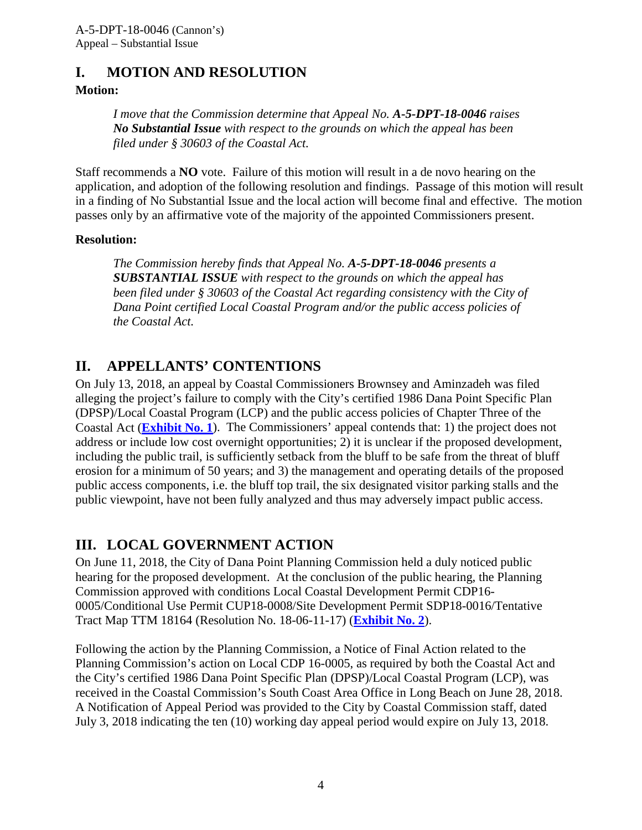## <span id="page-3-0"></span>**I. MOTION AND RESOLUTION**

## **Motion:**

*I move that the Commission determine that Appeal No. A-5-DPT-18-0046 raises No Substantial Issue with respect to the grounds on which the appeal has been filed under § 30603 of the Coastal Act.*

Staff recommends a **NO** vote. Failure of this motion will result in a de novo hearing on the application, and adoption of the following resolution and findings. Passage of this motion will result in a finding of No Substantial Issue and the local action will become final and effective. The motion passes only by an affirmative vote of the majority of the appointed Commissioners present.

## **Resolution:**

*The Commission hereby finds that Appeal No. A-5-DPT-18-0046 presents a SUBSTANTIAL ISSUE with respect to the grounds on which the appeal has been filed under § 30603 of the Coastal Act regarding consistency with the City of Dana Point certified Local Coastal Program and/or the public access policies of the Coastal Act.*

## <span id="page-3-1"></span>**II. APPELLANTS' CONTENTIONS**

On July 13, 2018, an appeal by Coastal Commissioners Brownsey and Aminzadeh was filed alleging the project's failure to comply with the City's certified 1986 Dana Point Specific Plan (DPSP)/Local Coastal Program (LCP) and the public access policies of Chapter Three of the Coastal Act (**[Exhibit No. 1](https://documents.coastal.ca.gov/reports/2019/9/W25c/W25c-9-2019-report.pdf)**). The Commissioners' appeal contends that: 1) the project does not address or include low cost overnight opportunities; 2) it is unclear if the proposed development, including the public trail, is sufficiently setback from the bluff to be safe from the threat of bluff erosion for a minimum of 50 years; and 3) the management and operating details of the proposed public access components, i.e. the bluff top trail, the six designated visitor parking stalls and the public viewpoint, have not been fully analyzed and thus may adversely impact public access.

## <span id="page-3-2"></span>**III. LOCAL GOVERNMENT ACTION**

On June 11, 2018, the City of Dana Point Planning Commission held a duly noticed public hearing for the proposed development. At the conclusion of the public hearing, the Planning Commission approved with conditions Local Coastal Development Permit CDP16- 0005/Conditional Use Permit CUP18-0008/Site Development Permit SDP18-0016/Tentative Tract Map TTM 18164 (Resolution No. 18-06-11-17) (**[Exhibit No. 2](https://documents.coastal.ca.gov/reports/2019/9/W25c/W25c-9-2019-report.pdf)**).

Following the action by the Planning Commission, a Notice of Final Action related to the Planning Commission's action on Local CDP 16-0005, as required by both the Coastal Act and the City's certified 1986 Dana Point Specific Plan (DPSP)/Local Coastal Program (LCP), was received in the Coastal Commission's South Coast Area Office in Long Beach on June 28, 2018. A Notification of Appeal Period was provided to the City by Coastal Commission staff, dated July 3, 2018 indicating the ten (10) working day appeal period would expire on July 13, 2018.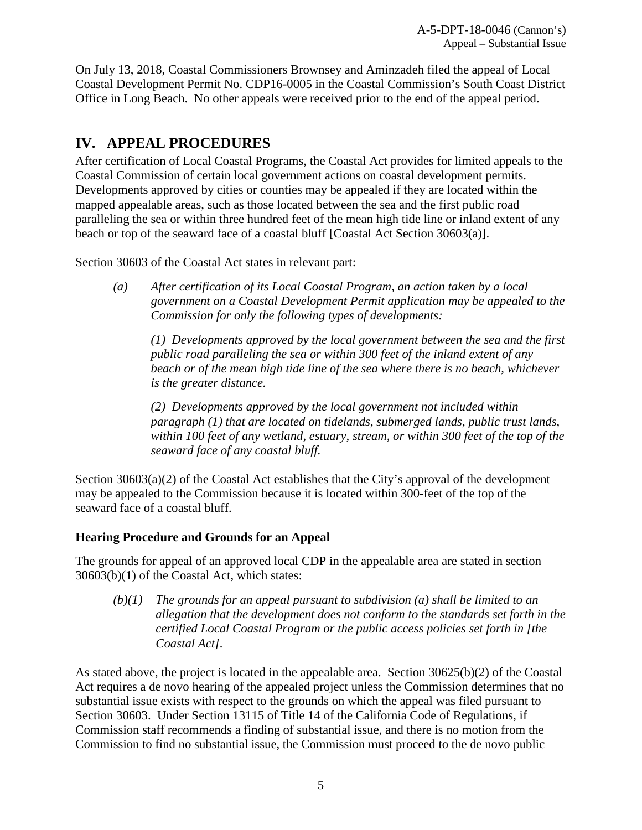On July 13, 2018, Coastal Commissioners Brownsey and Aminzadeh filed the appeal of Local Coastal Development Permit No. CDP16-0005 in the Coastal Commission's South Coast District Office in Long Beach. No other appeals were received prior to the end of the appeal period.

## <span id="page-4-0"></span>**IV. APPEAL PROCEDURES**

After certification of Local Coastal Programs, the Coastal Act provides for limited appeals to the Coastal Commission of certain local government actions on coastal development permits. Developments approved by cities or counties may be appealed if they are located within the mapped appealable areas, such as those located between the sea and the first public road paralleling the sea or within three hundred feet of the mean high tide line or inland extent of any beach or top of the seaward face of a coastal bluff [Coastal Act Section 30603(a)].

Section 30603 of the Coastal Act states in relevant part:

*(a) After certification of its Local Coastal Program, an action taken by a local government on a Coastal Development Permit application may be appealed to the Commission for only the following types of developments:* 

*(1) Developments approved by the local government between the sea and the first public road paralleling the sea or within 300 feet of the inland extent of any beach or of the mean high tide line of the sea where there is no beach, whichever is the greater distance.* 

*(2) Developments approved by the local government not included within paragraph (1) that are located on tidelands, submerged lands, public trust lands, within 100 feet of any wetland, estuary, stream, or within 300 feet of the top of the seaward face of any coastal bluff.* 

Section 30603(a)(2) of the Coastal Act establishes that the City's approval of the development may be appealed to the Commission because it is located within 300-feet of the top of the seaward face of a coastal bluff.

## **Hearing Procedure and Grounds for an Appeal**

The grounds for appeal of an approved local CDP in the appealable area are stated in section 30603(b)(1) of the Coastal Act, which states:

*(b)(1) The grounds for an appeal pursuant to subdivision (a) shall be limited to an allegation that the development does not conform to the standards set forth in the certified Local Coastal Program or the public access policies set forth in [the Coastal Act].* 

As stated above, the project is located in the appealable area. Section 30625(b)(2) of the Coastal Act requires a de novo hearing of the appealed project unless the Commission determines that no substantial issue exists with respect to the grounds on which the appeal was filed pursuant to Section 30603. Under Section 13115 of Title 14 of the California Code of Regulations, if Commission staff recommends a finding of substantial issue, and there is no motion from the Commission to find no substantial issue, the Commission must proceed to the de novo public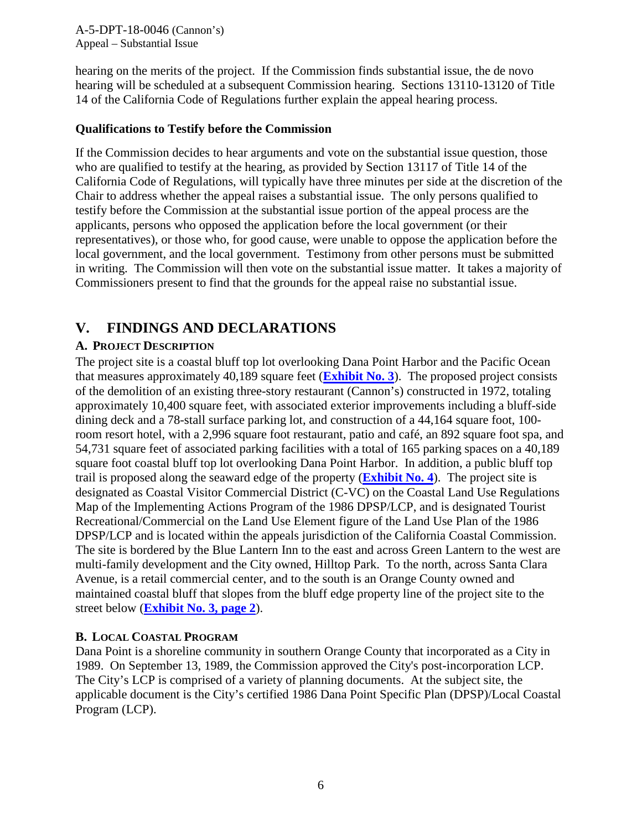hearing on the merits of the project. If the Commission finds substantial issue, the de novo hearing will be scheduled at a subsequent Commission hearing. Sections 13110-13120 of Title 14 of the California Code of Regulations further explain the appeal hearing process.

#### **Qualifications to Testify before the Commission**

If the Commission decides to hear arguments and vote on the substantial issue question, those who are qualified to testify at the hearing, as provided by Section 13117 of Title 14 of the California Code of Regulations, will typically have three minutes per side at the discretion of the Chair to address whether the appeal raises a substantial issue. The only persons qualified to testify before the Commission at the substantial issue portion of the appeal process are the applicants, persons who opposed the application before the local government (or their representatives), or those who, for good cause, were unable to oppose the application before the local government, and the local government. Testimony from other persons must be submitted in writing. The Commission will then vote on the substantial issue matter. It takes a majority of Commissioners present to find that the grounds for the appeal raise no substantial issue.

## <span id="page-5-0"></span>**V. FINDINGS AND DECLARATIONS**

## <span id="page-5-1"></span>**A. PROJECT DESCRIPTION**

The project site is a coastal bluff top lot overlooking Dana Point Harbor and the Pacific Ocean that measures approximately 40,189 square feet (**[Exhibit No. 3](https://documents.coastal.ca.gov/reports/2019/9/W25c/W25c-9-2019-report.pdf)**). The proposed project consists of the demolition of an existing three-story restaurant (Cannon's) constructed in 1972, totaling approximately 10,400 square feet, with associated exterior improvements including a bluff-side dining deck and a 78-stall surface parking lot, and construction of a 44,164 square foot, 100 room resort hotel, with a 2,996 square foot restaurant, patio and café, an 892 square foot spa, and 54,731 square feet of associated parking facilities with a total of 165 parking spaces on a 40,189 square foot coastal bluff top lot overlooking Dana Point Harbor. In addition, a public bluff top trail is proposed along the seaward edge of the property (**[Exhibit No. 4](https://documents.coastal.ca.gov/reports/2019/9/W25c/W25c-9-2019-report.pdf)**). The project site is designated as Coastal Visitor Commercial District (C-VC) on the Coastal Land Use Regulations Map of the Implementing Actions Program of the 1986 DPSP/LCP, and is designated Tourist Recreational/Commercial on the Land Use Element figure of the Land Use Plan of the 1986 DPSP/LCP and is located within the appeals jurisdiction of the California Coastal Commission. The site is bordered by the Blue Lantern Inn to the east and across Green Lantern to the west are multi-family development and the City owned, Hilltop Park. To the north, across Santa Clara Avenue, is a retail commercial center, and to the south is an Orange County owned and maintained coastal bluff that slopes from the bluff edge property line of the project site to the street below (**[Exhibit No. 3, page 2](https://documents.coastal.ca.gov/reports/2019/9/W25c/W25c-9-2019-report.pdf)**).

## <span id="page-5-2"></span>**B. LOCAL COASTAL PROGRAM**

Dana Point is a shoreline community in southern Orange County that incorporated as a City in 1989. On September 13, 1989, the Commission approved the City's post-incorporation LCP. The City's LCP is comprised of a variety of planning documents. At the subject site, the applicable document is the City's certified 1986 Dana Point Specific Plan (DPSP)/Local Coastal Program (LCP).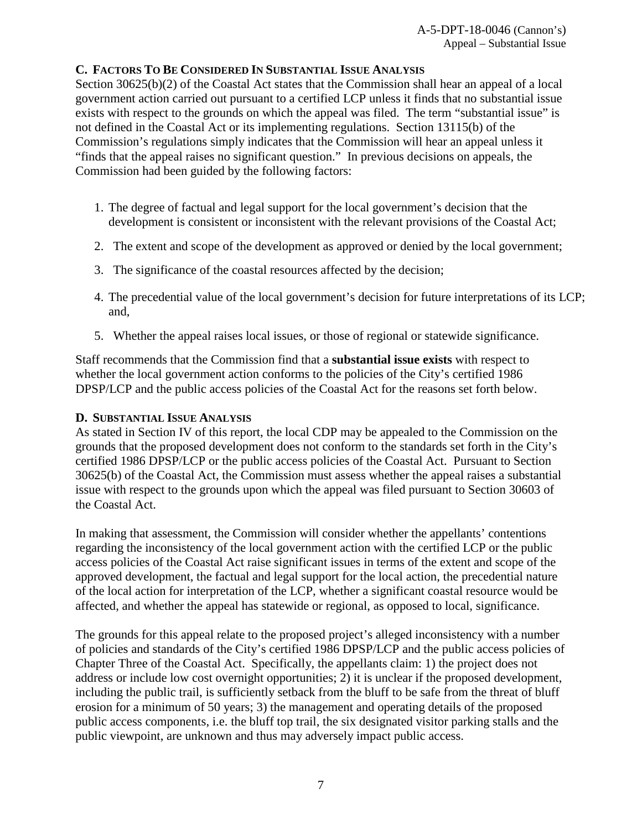## <span id="page-6-0"></span>**C. FACTORS TO BE CONSIDERED IN SUBSTANTIAL ISSUE ANALYSIS**

Section 30625(b)(2) of the Coastal Act states that the Commission shall hear an appeal of a local government action carried out pursuant to a certified LCP unless it finds that no substantial issue exists with respect to the grounds on which the appeal was filed. The term "substantial issue" is not defined in the Coastal Act or its implementing regulations. Section 13115(b) of the Commission's regulations simply indicates that the Commission will hear an appeal unless it "finds that the appeal raises no significant question." In previous decisions on appeals, the Commission had been guided by the following factors:

- 1. The degree of factual and legal support for the local government's decision that the development is consistent or inconsistent with the relevant provisions of the Coastal Act;
- 2. The extent and scope of the development as approved or denied by the local government;
- 3. The significance of the coastal resources affected by the decision;
- 4. The precedential value of the local government's decision for future interpretations of its LCP; and,
- 5. Whether the appeal raises local issues, or those of regional or statewide significance.

Staff recommends that the Commission find that a **substantial issue exists** with respect to whether the local government action conforms to the policies of the City's certified 1986 DPSP/LCP and the public access policies of the Coastal Act for the reasons set forth below.

#### <span id="page-6-1"></span>**D. SUBSTANTIAL ISSUE ANALYSIS**

As stated in Section IV of this report, the local CDP may be appealed to the Commission on the grounds that the proposed development does not conform to the standards set forth in the City's certified 1986 DPSP/LCP or the public access policies of the Coastal Act. Pursuant to Section 30625(b) of the Coastal Act, the Commission must assess whether the appeal raises a substantial issue with respect to the grounds upon which the appeal was filed pursuant to Section 30603 of the Coastal Act.

In making that assessment, the Commission will consider whether the appellants' contentions regarding the inconsistency of the local government action with the certified LCP or the public access policies of the Coastal Act raise significant issues in terms of the extent and scope of the approved development, the factual and legal support for the local action, the precedential nature of the local action for interpretation of the LCP, whether a significant coastal resource would be affected, and whether the appeal has statewide or regional, as opposed to local, significance.

The grounds for this appeal relate to the proposed project's alleged inconsistency with a number of policies and standards of the City's certified 1986 DPSP/LCP and the public access policies of Chapter Three of the Coastal Act. Specifically, the appellants claim: 1) the project does not address or include low cost overnight opportunities; 2) it is unclear if the proposed development, including the public trail, is sufficiently setback from the bluff to be safe from the threat of bluff erosion for a minimum of 50 years; 3) the management and operating details of the proposed public access components, i.e. the bluff top trail, the six designated visitor parking stalls and the public viewpoint, are unknown and thus may adversely impact public access.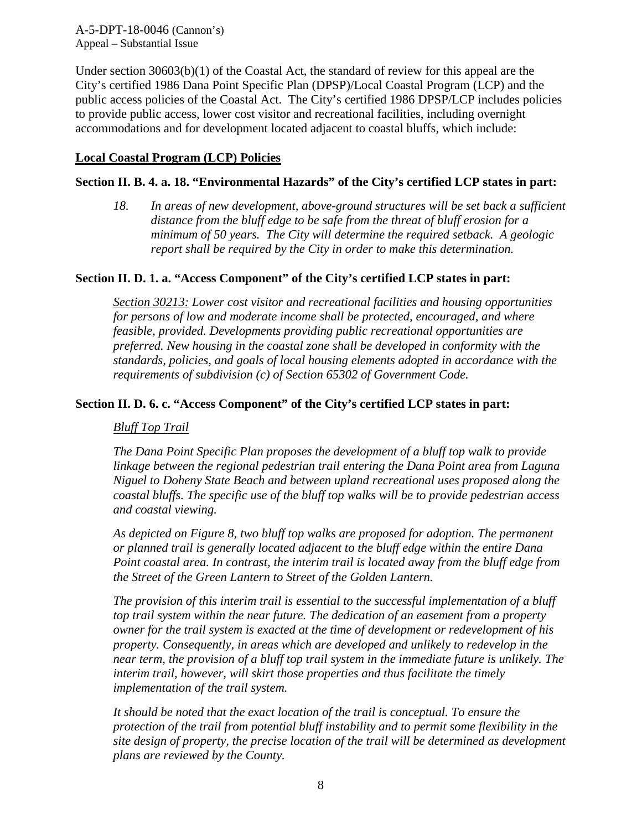Under section 30603(b)(1) of the Coastal Act, the standard of review for this appeal are the City's certified 1986 Dana Point Specific Plan (DPSP)/Local Coastal Program (LCP) and the public access policies of the Coastal Act. The City's certified 1986 DPSP/LCP includes policies to provide public access, lower cost visitor and recreational facilities, including overnight accommodations and for development located adjacent to coastal bluffs, which include:

#### **Local Coastal Program (LCP) Policies**

#### **Section II. B. 4. a. 18. "Environmental Hazards" of the City's certified LCP states in part:**

*18. In areas of new development, above-ground structures will be set back a sufficient distance from the bluff edge to be safe from the threat of bluff erosion for a minimum of 50 years. The City will determine the required setback. A geologic report shall be required by the City in order to make this determination.* 

#### **Section II. D. 1. a. "Access Component" of the City's certified LCP states in part:**

*Section 30213: Lower cost visitor and recreational facilities and housing opportunities for persons of low and moderate income shall be protected, encouraged, and where feasible, provided. Developments providing public recreational opportunities are preferred. New housing in the coastal zone shall be developed in conformity with the standards, policies, and goals of local housing elements adopted in accordance with the requirements of subdivision (c) of Section 65302 of Government Code.* 

#### **Section II. D. 6. c. "Access Component" of the City's certified LCP states in part:**

#### *Bluff Top Trail*

*The Dana Point Specific Plan proposes the development of a bluff top walk to provide linkage between the regional pedestrian trail entering the Dana Point area from Laguna Niguel to Doheny State Beach and between upland recreational uses proposed along the coastal bluffs. The specific use of the bluff top walks will be to provide pedestrian access and coastal viewing.* 

*As depicted on Figure 8, two bluff top walks are proposed for adoption. The permanent or planned trail is generally located adjacent to the bluff edge within the entire Dana Point coastal area. In contrast, the interim trail is located away from the bluff edge from the Street of the Green Lantern to Street of the Golden Lantern.* 

*The provision of this interim trail is essential to the successful implementation of a bluff top trail system within the near future. The dedication of an easement from a property owner for the trail system is exacted at the time of development or redevelopment of his property. Consequently, in areas which are developed and unlikely to redevelop in the near term, the provision of a bluff top trail system in the immediate future is unlikely. The interim trail, however, will skirt those properties and thus facilitate the timely implementation of the trail system.*

*It should be noted that the exact location of the trail is conceptual. To ensure the protection of the trail from potential bluff instability and to permit some flexibility in the site design of property, the precise location of the trail will be determined as development plans are reviewed by the County.*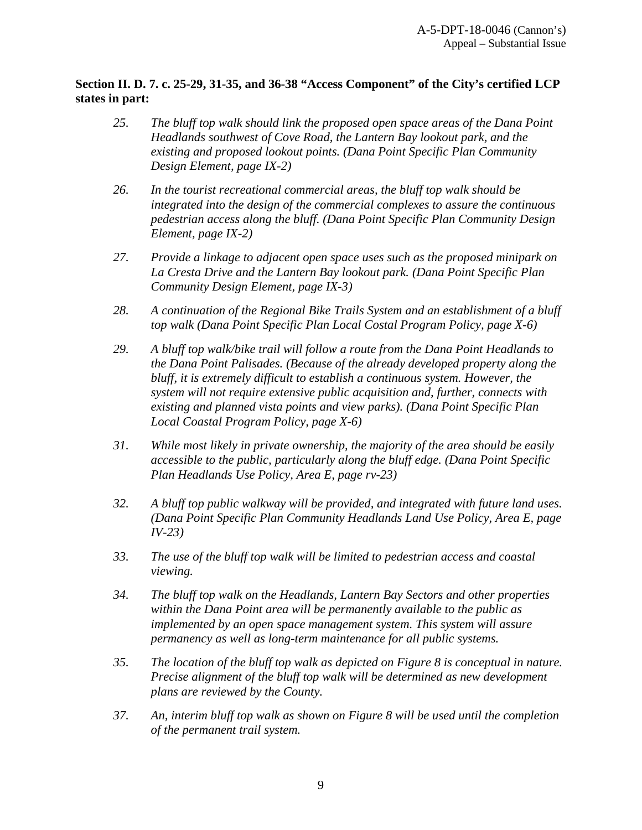## **Section II. D. 7. c. 25-29, 31-35, and 36-38 "Access Component" of the City's certified LCP states in part:**

- *25. The bluff top walk should link the proposed open space areas of the Dana Point Headlands southwest of Cove Road, the Lantern Bay lookout park, and the existing and proposed lookout points. (Dana Point Specific Plan Community Design Element, page IX-2)*
- *26. In the tourist recreational commercial areas, the bluff top walk should be integrated into the design of the commercial complexes to assure the continuous pedestrian access along the bluff. (Dana Point Specific Plan Community Design Element, page IX-2)*
- *27. Provide a linkage to adjacent open space uses such as the proposed minipark on La Cresta Drive and the Lantern Bay lookout park. (Dana Point Specific Plan Community Design Element, page IX-3)*
- *28. A continuation of the Regional Bike Trails System and an establishment of a bluff top walk (Dana Point Specific Plan Local Costal Program Policy, page X-6)*
- *29. A bluff top walk/bike trail will follow a route from the Dana Point Headlands to the Dana Point Palisades. (Because of the already developed property along the bluff, it is extremely difficult to establish a continuous system. However, the system will not require extensive public acquisition and, further, connects with existing and planned vista points and view parks). (Dana Point Specific Plan Local Coastal Program Policy, page X-6)*
- *31. While most likely in private ownership, the majority of the area should be easily accessible to the public, particularly along the bluff edge. (Dana Point Specific Plan Headlands Use Policy, Area E, page rv-23)*
- *32. A bluff top public walkway will be provided, and integrated with future land uses. (Dana Point Specific Plan Community Headlands Land Use Policy, Area E, page IV-23)*
- *33. The use of the bluff top walk will be limited to pedestrian access and coastal viewing.*
- *34. The bluff top walk on the Headlands, Lantern Bay Sectors and other properties within the Dana Point area will be permanently available to the public as implemented by an open space management system. This system will assure permanency as well as long-term maintenance for all public systems.*
- *35. The location of the bluff top walk as depicted on Figure 8 is conceptual in nature. Precise alignment of the bluff top walk will be determined as new development plans are reviewed by the County.*
- *37. An, interim bluff top walk as shown on Figure 8 will be used until the completion of the permanent trail system.*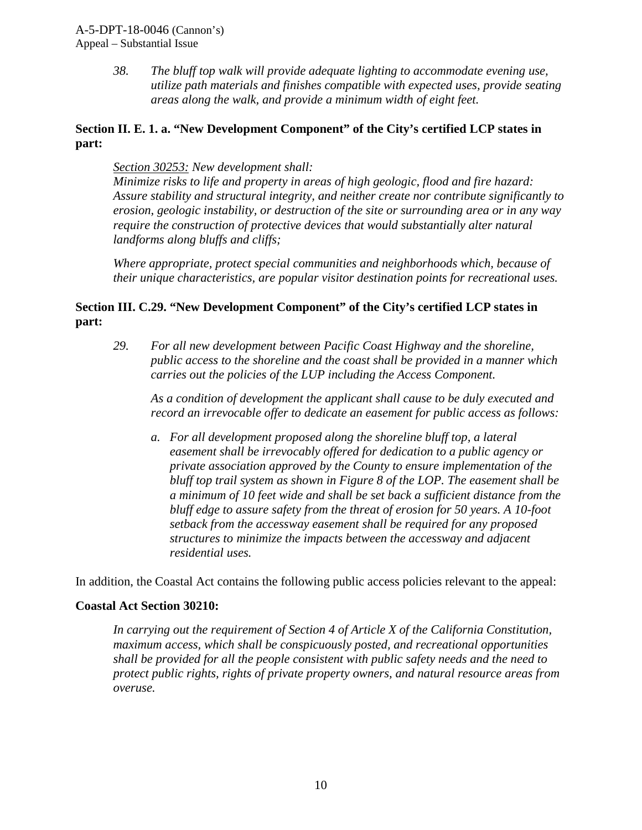*38. The bluff top walk will provide adequate lighting to accommodate evening use, utilize path materials and finishes compatible with expected uses, provide seating areas along the walk, and provide a minimum width of eight feet.* 

### **Section II. E. 1. a. "New Development Component" of the City's certified LCP states in part:**

#### *Section 30253: New development shall:*

*Minimize risks to life and property in areas of high geologic, flood and fire hazard: Assure stability and structural integrity, and neither create nor contribute significantly to erosion, geologic instability, or destruction of the site or surrounding area or in any way require the construction of protective devices that would substantially alter natural landforms along bluffs and cliffs;* 

*Where appropriate, protect special communities and neighborhoods which, because of their unique characteristics, are popular visitor destination points for recreational uses.* 

## **Section III. C.29. "New Development Component" of the City's certified LCP states in part:**

*29. For all new development between Pacific Coast Highway and the shoreline, public access to the shoreline and the coast shall be provided in a manner which carries out the policies of the LUP including the Access Component.* 

*As a condition of development the applicant shall cause to be duly executed and record an irrevocable offer to dedicate an easement for public access as follows:* 

*a. For all development proposed along the shoreline bluff top, a lateral easement shall be irrevocably offered for dedication to a public agency or private association approved by the County to ensure implementation of the bluff top trail system as shown in Figure 8 of the LOP. The easement shall be a minimum of 10 feet wide and shall be set back a sufficient distance from the bluff edge to assure safety from the threat of erosion for 50 years. A 10-foot setback from the accessway easement shall be required for any proposed structures to minimize the impacts between the accessway and adjacent residential uses.* 

In addition, the Coastal Act contains the following public access policies relevant to the appeal:

#### **Coastal Act Section 30210:**

*In carrying out the requirement of Section 4 of Article X of the California Constitution, maximum access, which shall be conspicuously posted, and recreational opportunities shall be provided for all the people consistent with public safety needs and the need to protect public rights, rights of private property owners, and natural resource areas from overuse.*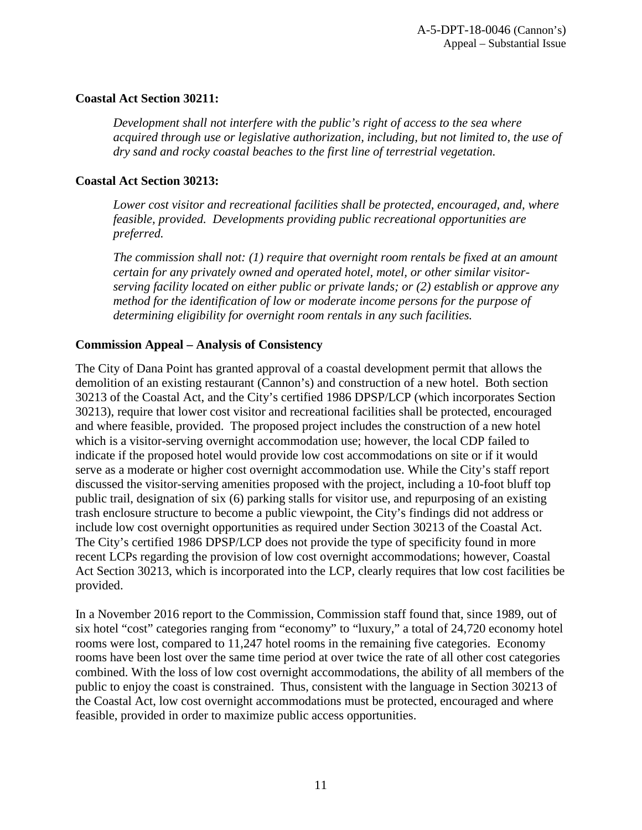#### **Coastal Act Section 30211:**

*Development shall not interfere with the public's right of access to the sea where acquired through use or legislative authorization, including, but not limited to, the use of dry sand and rocky coastal beaches to the first line of terrestrial vegetation.* 

### **Coastal Act Section 30213:**

*Lower cost visitor and recreational facilities shall be protected, encouraged, and, where feasible, provided. Developments providing public recreational opportunities are preferred.*

*The commission shall not: (1) require that overnight room rentals be fixed at an amount certain for any privately owned and operated hotel, motel, or other similar visitorserving facility located on either public or private lands; or (2) establish or approve any method for the identification of low or moderate income persons for the purpose of determining eligibility for overnight room rentals in any such facilities.*

## **Commission Appeal – Analysis of Consistency**

The City of Dana Point has granted approval of a coastal development permit that allows the demolition of an existing restaurant (Cannon's) and construction of a new hotel. Both section 30213 of the Coastal Act, and the City's certified 1986 DPSP/LCP (which incorporates Section 30213), require that lower cost visitor and recreational facilities shall be protected, encouraged and where feasible, provided. The proposed project includes the construction of a new hotel which is a visitor-serving overnight accommodation use; however, the local CDP failed to indicate if the proposed hotel would provide low cost accommodations on site or if it would serve as a moderate or higher cost overnight accommodation use. While the City's staff report discussed the visitor-serving amenities proposed with the project, including a 10-foot bluff top public trail, designation of six (6) parking stalls for visitor use, and repurposing of an existing trash enclosure structure to become a public viewpoint, the City's findings did not address or include low cost overnight opportunities as required under Section 30213 of the Coastal Act. The City's certified 1986 DPSP/LCP does not provide the type of specificity found in more recent LCPs regarding the provision of low cost overnight accommodations; however, Coastal Act Section 30213, which is incorporated into the LCP, clearly requires that low cost facilities be provided.

In a November 2016 report to the Commission, Commission staff found that, since 1989, out of six hotel "cost" categories ranging from "economy" to "luxury," a total of 24,720 economy hotel rooms were lost, compared to 11,247 hotel rooms in the remaining five categories. Economy rooms have been lost over the same time period at over twice the rate of all other cost categories combined. With the loss of low cost overnight accommodations, the ability of all members of the public to enjoy the coast is constrained. Thus, consistent with the language in Section 30213 of the Coastal Act, low cost overnight accommodations must be protected, encouraged and where feasible, provided in order to maximize public access opportunities.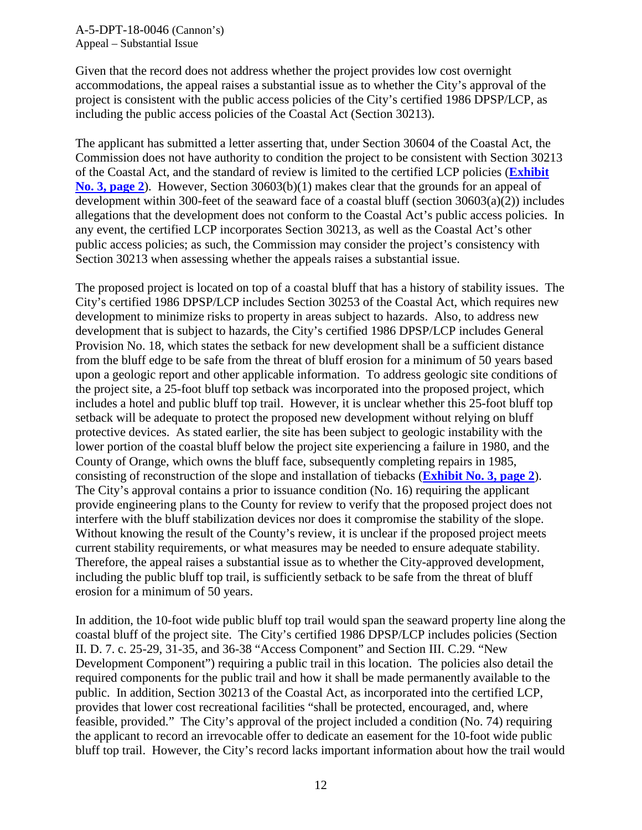Given that the record does not address whether the project provides low cost overnight accommodations, the appeal raises a substantial issue as to whether the City's approval of the project is consistent with the public access policies of the City's certified 1986 DPSP/LCP, as including the public access policies of the Coastal Act (Section 30213).

The applicant has submitted a letter asserting that, under Section 30604 of the Coastal Act, the Commission does not have authority to condition the project to be consistent with Section 30213 of the Coastal Act, and the standard of review is limited to the certified LCP policies (**[Exhibit](https://documents.coastal.ca.gov/reports/2019/9/W25c/W25c-9-2019-report.pdf)  [No. 3, page 2](https://documents.coastal.ca.gov/reports/2019/9/W25c/W25c-9-2019-report.pdf)**). However, Section 30603(b)(1) makes clear that the grounds for an appeal of development within 300-feet of the seaward face of a coastal bluff (section  $30603(a)(2)$ ) includes allegations that the development does not conform to the Coastal Act's public access policies. In any event, the certified LCP incorporates Section 30213, as well as the Coastal Act's other public access policies; as such, the Commission may consider the project's consistency with Section 30213 when assessing whether the appeals raises a substantial issue.

The proposed project is located on top of a coastal bluff that has a history of stability issues. The City's certified 1986 DPSP/LCP includes Section 30253 of the Coastal Act, which requires new development to minimize risks to property in areas subject to hazards. Also, to address new development that is subject to hazards, the City's certified 1986 DPSP/LCP includes General Provision No. 18, which states the setback for new development shall be a sufficient distance from the bluff edge to be safe from the threat of bluff erosion for a minimum of 50 years based upon a geologic report and other applicable information. To address geologic site conditions of the project site, a 25-foot bluff top setback was incorporated into the proposed project, which includes a hotel and public bluff top trail. However, it is unclear whether this 25-foot bluff top setback will be adequate to protect the proposed new development without relying on bluff protective devices. As stated earlier, the site has been subject to geologic instability with the lower portion of the coastal bluff below the project site experiencing a failure in 1980, and the County of Orange, which owns the bluff face, subsequently completing repairs in 1985, consisting of reconstruction of the slope and installation of tiebacks (**[Exhibit No. 3, page 2](https://documents.coastal.ca.gov/reports/2019/9/W25c/W25c-9-2019-report.pdf)**). The City's approval contains a prior to issuance condition (No. 16) requiring the applicant provide engineering plans to the County for review to verify that the proposed project does not interfere with the bluff stabilization devices nor does it compromise the stability of the slope. Without knowing the result of the County's review, it is unclear if the proposed project meets current stability requirements, or what measures may be needed to ensure adequate stability. Therefore, the appeal raises a substantial issue as to whether the City-approved development, including the public bluff top trail, is sufficiently setback to be safe from the threat of bluff erosion for a minimum of 50 years.

In addition, the 10-foot wide public bluff top trail would span the seaward property line along the coastal bluff of the project site. The City's certified 1986 DPSP/LCP includes policies (Section II. D. 7. c. 25-29, 31-35, and 36-38 "Access Component" and Section III. C.29. "New Development Component") requiring a public trail in this location. The policies also detail the required components for the public trail and how it shall be made permanently available to the public. In addition, Section 30213 of the Coastal Act, as incorporated into the certified LCP, provides that lower cost recreational facilities "shall be protected, encouraged, and, where feasible, provided." The City's approval of the project included a condition (No. 74) requiring the applicant to record an irrevocable offer to dedicate an easement for the 10-foot wide public bluff top trail. However, the City's record lacks important information about how the trail would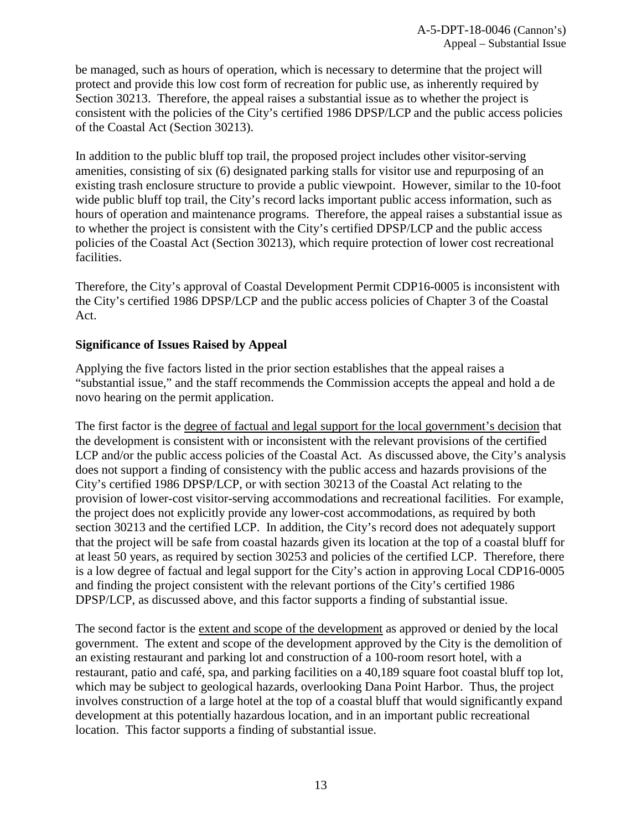be managed, such as hours of operation, which is necessary to determine that the project will protect and provide this low cost form of recreation for public use, as inherently required by Section 30213. Therefore, the appeal raises a substantial issue as to whether the project is consistent with the policies of the City's certified 1986 DPSP/LCP and the public access policies of the Coastal Act (Section 30213).

In addition to the public bluff top trail, the proposed project includes other visitor-serving amenities, consisting of six (6) designated parking stalls for visitor use and repurposing of an existing trash enclosure structure to provide a public viewpoint. However, similar to the 10-foot wide public bluff top trail, the City's record lacks important public access information, such as hours of operation and maintenance programs. Therefore, the appeal raises a substantial issue as to whether the project is consistent with the City's certified DPSP/LCP and the public access policies of the Coastal Act (Section 30213), which require protection of lower cost recreational facilities.

Therefore, the City's approval of Coastal Development Permit CDP16-0005 is inconsistent with the City's certified 1986 DPSP/LCP and the public access policies of Chapter 3 of the Coastal Act.

## **Significance of Issues Raised by Appeal**

Applying the five factors listed in the prior section establishes that the appeal raises a "substantial issue," and the staff recommends the Commission accepts the appeal and hold a de novo hearing on the permit application.

The first factor is the degree of factual and legal support for the local government's decision that the development is consistent with or inconsistent with the relevant provisions of the certified LCP and/or the public access policies of the Coastal Act. As discussed above, the City's analysis does not support a finding of consistency with the public access and hazards provisions of the City's certified 1986 DPSP/LCP, or with section 30213 of the Coastal Act relating to the provision of lower-cost visitor-serving accommodations and recreational facilities. For example, the project does not explicitly provide any lower-cost accommodations, as required by both section 30213 and the certified LCP. In addition, the City's record does not adequately support that the project will be safe from coastal hazards given its location at the top of a coastal bluff for at least 50 years, as required by section 30253 and policies of the certified LCP. Therefore, there is a low degree of factual and legal support for the City's action in approving Local CDP16-0005 and finding the project consistent with the relevant portions of the City's certified 1986 DPSP/LCP, as discussed above, and this factor supports a finding of substantial issue.

The second factor is the extent and scope of the development as approved or denied by the local government. The extent and scope of the development approved by the City is the demolition of an existing restaurant and parking lot and construction of a 100-room resort hotel, with a restaurant, patio and café, spa, and parking facilities on a 40,189 square foot coastal bluff top lot, which may be subject to geological hazards, overlooking Dana Point Harbor. Thus, the project involves construction of a large hotel at the top of a coastal bluff that would significantly expand development at this potentially hazardous location, and in an important public recreational location. This factor supports a finding of substantial issue.